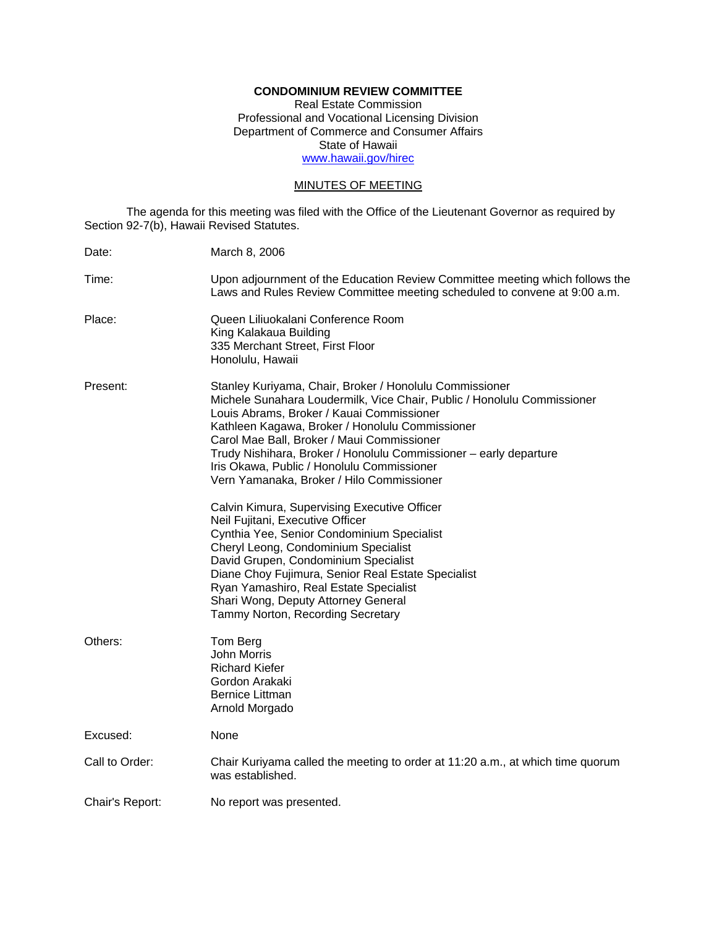# **CONDOMINIUM REVIEW COMMITTEE**

Real Estate Commission Professional and Vocational Licensing Division Department of Commerce and Consumer Affairs State of Hawaii www.hawaii.gov/hirec

## MINUTES OF MEETING

The agenda for this meeting was filed with the Office of the Lieutenant Governor as required by Section 92-7(b), Hawaii Revised Statutes.

| Date:           | March 8, 2006                                                                                                                                                                                                                                                                                                                                                                                                                                    |
|-----------------|--------------------------------------------------------------------------------------------------------------------------------------------------------------------------------------------------------------------------------------------------------------------------------------------------------------------------------------------------------------------------------------------------------------------------------------------------|
| Time:           | Upon adjournment of the Education Review Committee meeting which follows the<br>Laws and Rules Review Committee meeting scheduled to convene at 9:00 a.m.                                                                                                                                                                                                                                                                                        |
| Place:          | Queen Liliuokalani Conference Room<br>King Kalakaua Building<br>335 Merchant Street, First Floor<br>Honolulu, Hawaii                                                                                                                                                                                                                                                                                                                             |
| Present:        | Stanley Kuriyama, Chair, Broker / Honolulu Commissioner<br>Michele Sunahara Loudermilk, Vice Chair, Public / Honolulu Commissioner<br>Louis Abrams, Broker / Kauai Commissioner<br>Kathleen Kagawa, Broker / Honolulu Commissioner<br>Carol Mae Ball, Broker / Maui Commissioner<br>Trudy Nishihara, Broker / Honolulu Commissioner - early departure<br>Iris Okawa, Public / Honolulu Commissioner<br>Vern Yamanaka, Broker / Hilo Commissioner |
|                 | Calvin Kimura, Supervising Executive Officer<br>Neil Fujitani, Executive Officer<br>Cynthia Yee, Senior Condominium Specialist<br>Cheryl Leong, Condominium Specialist<br>David Grupen, Condominium Specialist<br>Diane Choy Fujimura, Senior Real Estate Specialist<br>Ryan Yamashiro, Real Estate Specialist<br>Shari Wong, Deputy Attorney General<br>Tammy Norton, Recording Secretary                                                       |
| Others:         | Tom Berg<br>John Morris<br><b>Richard Kiefer</b><br>Gordon Arakaki<br>Bernice Littman<br>Arnold Morgado                                                                                                                                                                                                                                                                                                                                          |
| Excused:        | None                                                                                                                                                                                                                                                                                                                                                                                                                                             |
| Call to Order:  | Chair Kuriyama called the meeting to order at 11:20 a.m., at which time quorum<br>was established.                                                                                                                                                                                                                                                                                                                                               |
| Chair's Report: | No report was presented.                                                                                                                                                                                                                                                                                                                                                                                                                         |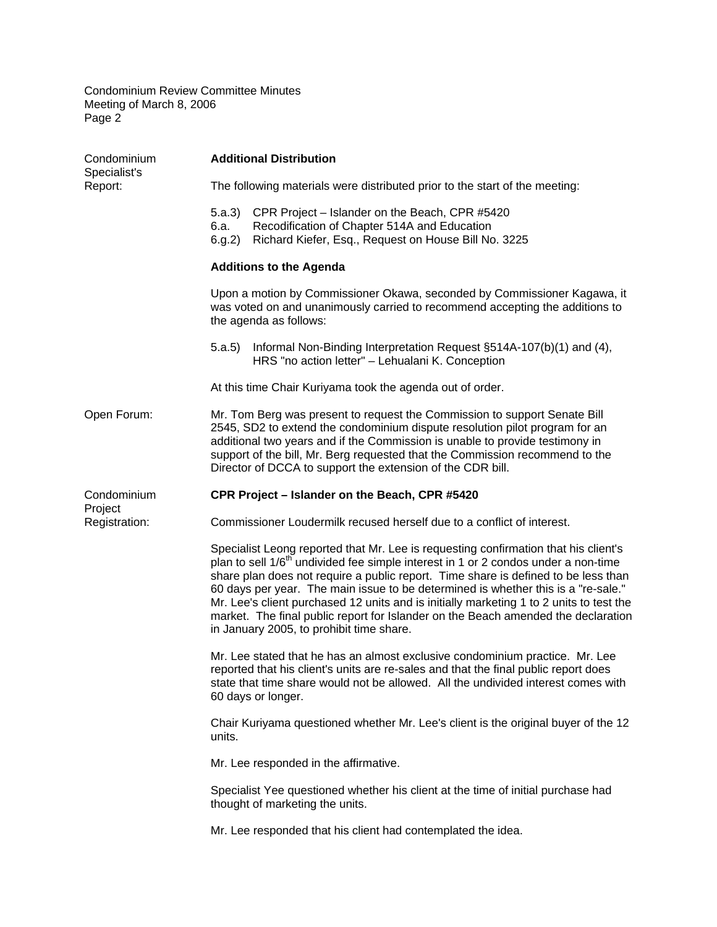| Condominium<br>Specialist's<br>Report:  | <b>Additional Distribution</b>                                                                                                                                                                                                                                                                                                                                                                                                                                                                                                                                                               |
|-----------------------------------------|----------------------------------------------------------------------------------------------------------------------------------------------------------------------------------------------------------------------------------------------------------------------------------------------------------------------------------------------------------------------------------------------------------------------------------------------------------------------------------------------------------------------------------------------------------------------------------------------|
|                                         | The following materials were distributed prior to the start of the meeting:                                                                                                                                                                                                                                                                                                                                                                                                                                                                                                                  |
|                                         | CPR Project - Islander on the Beach, CPR #5420<br>5.a.3)<br>Recodification of Chapter 514A and Education<br>6.a.<br>Richard Kiefer, Esq., Request on House Bill No. 3225<br>6(g.2)                                                                                                                                                                                                                                                                                                                                                                                                           |
|                                         | <b>Additions to the Agenda</b>                                                                                                                                                                                                                                                                                                                                                                                                                                                                                                                                                               |
|                                         | Upon a motion by Commissioner Okawa, seconded by Commissioner Kagawa, it<br>was voted on and unanimously carried to recommend accepting the additions to<br>the agenda as follows:                                                                                                                                                                                                                                                                                                                                                                                                           |
|                                         | Informal Non-Binding Interpretation Request §514A-107(b)(1) and (4),<br>5.a.5)<br>HRS "no action letter" - Lehualani K. Conception                                                                                                                                                                                                                                                                                                                                                                                                                                                           |
|                                         | At this time Chair Kuriyama took the agenda out of order.                                                                                                                                                                                                                                                                                                                                                                                                                                                                                                                                    |
| Open Forum:                             | Mr. Tom Berg was present to request the Commission to support Senate Bill<br>2545, SD2 to extend the condominium dispute resolution pilot program for an<br>additional two years and if the Commission is unable to provide testimony in<br>support of the bill, Mr. Berg requested that the Commission recommend to the<br>Director of DCCA to support the extension of the CDR bill.                                                                                                                                                                                                       |
| Condominium<br>Project<br>Registration: | CPR Project - Islander on the Beach, CPR #5420                                                                                                                                                                                                                                                                                                                                                                                                                                                                                                                                               |
|                                         | Commissioner Loudermilk recused herself due to a conflict of interest.                                                                                                                                                                                                                                                                                                                                                                                                                                                                                                                       |
|                                         | Specialist Leong reported that Mr. Lee is requesting confirmation that his client's<br>plan to sell 1/6 <sup>th</sup> undivided fee simple interest in 1 or 2 condos under a non-time<br>share plan does not require a public report. Time share is defined to be less than<br>60 days per year. The main issue to be determined is whether this is a "re-sale."<br>Mr. Lee's client purchased 12 units and is initially marketing 1 to 2 units to test the<br>market. The final public report for Islander on the Beach amended the declaration<br>in January 2005, to prohibit time share. |
|                                         | Mr. Lee stated that he has an almost exclusive condominium practice. Mr. Lee<br>reported that his client's units are re-sales and that the final public report does<br>state that time share would not be allowed. All the undivided interest comes with<br>60 days or longer.                                                                                                                                                                                                                                                                                                               |
|                                         | Chair Kuriyama questioned whether Mr. Lee's client is the original buyer of the 12<br>units.                                                                                                                                                                                                                                                                                                                                                                                                                                                                                                 |
|                                         | Mr. Lee responded in the affirmative.                                                                                                                                                                                                                                                                                                                                                                                                                                                                                                                                                        |
|                                         | Specialist Yee questioned whether his client at the time of initial purchase had<br>thought of marketing the units.                                                                                                                                                                                                                                                                                                                                                                                                                                                                          |
|                                         | Mr. Lee responded that his client had contemplated the idea.                                                                                                                                                                                                                                                                                                                                                                                                                                                                                                                                 |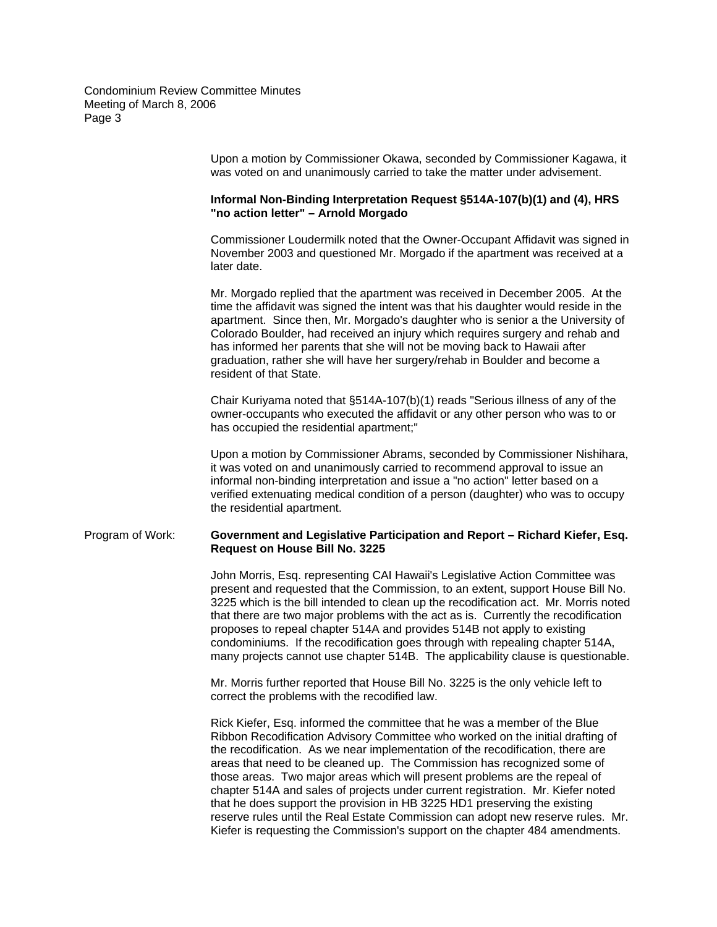> Upon a motion by Commissioner Okawa, seconded by Commissioner Kagawa, it was voted on and unanimously carried to take the matter under advisement.

# **Informal Non-Binding Interpretation Request §514A-107(b)(1) and (4), HRS "no action letter" – Arnold Morgado**

Commissioner Loudermilk noted that the Owner-Occupant Affidavit was signed in November 2003 and questioned Mr. Morgado if the apartment was received at a later date.

Mr. Morgado replied that the apartment was received in December 2005. At the time the affidavit was signed the intent was that his daughter would reside in the apartment. Since then, Mr. Morgado's daughter who is senior a the University of Colorado Boulder, had received an injury which requires surgery and rehab and has informed her parents that she will not be moving back to Hawaii after graduation, rather she will have her surgery/rehab in Boulder and become a resident of that State.

Chair Kuriyama noted that §514A-107(b)(1) reads "Serious illness of any of the owner-occupants who executed the affidavit or any other person who was to or has occupied the residential apartment;"

Upon a motion by Commissioner Abrams, seconded by Commissioner Nishihara, it was voted on and unanimously carried to recommend approval to issue an informal non-binding interpretation and issue a "no action" letter based on a verified extenuating medical condition of a person (daughter) who was to occupy the residential apartment.

### Program of Work: **Government and Legislative Participation and Report – Richard Kiefer, Esq. Request on House Bill No. 3225**

John Morris, Esq. representing CAI Hawaii's Legislative Action Committee was present and requested that the Commission, to an extent, support House Bill No. 3225 which is the bill intended to clean up the recodification act. Mr. Morris noted that there are two major problems with the act as is. Currently the recodification proposes to repeal chapter 514A and provides 514B not apply to existing condominiums. If the recodification goes through with repealing chapter 514A, many projects cannot use chapter 514B. The applicability clause is questionable.

Mr. Morris further reported that House Bill No. 3225 is the only vehicle left to correct the problems with the recodified law.

Rick Kiefer, Esq. informed the committee that he was a member of the Blue Ribbon Recodification Advisory Committee who worked on the initial drafting of the recodification. As we near implementation of the recodification, there are areas that need to be cleaned up. The Commission has recognized some of those areas. Two major areas which will present problems are the repeal of chapter 514A and sales of projects under current registration. Mr. Kiefer noted that he does support the provision in HB 3225 HD1 preserving the existing reserve rules until the Real Estate Commission can adopt new reserve rules. Mr. Kiefer is requesting the Commission's support on the chapter 484 amendments.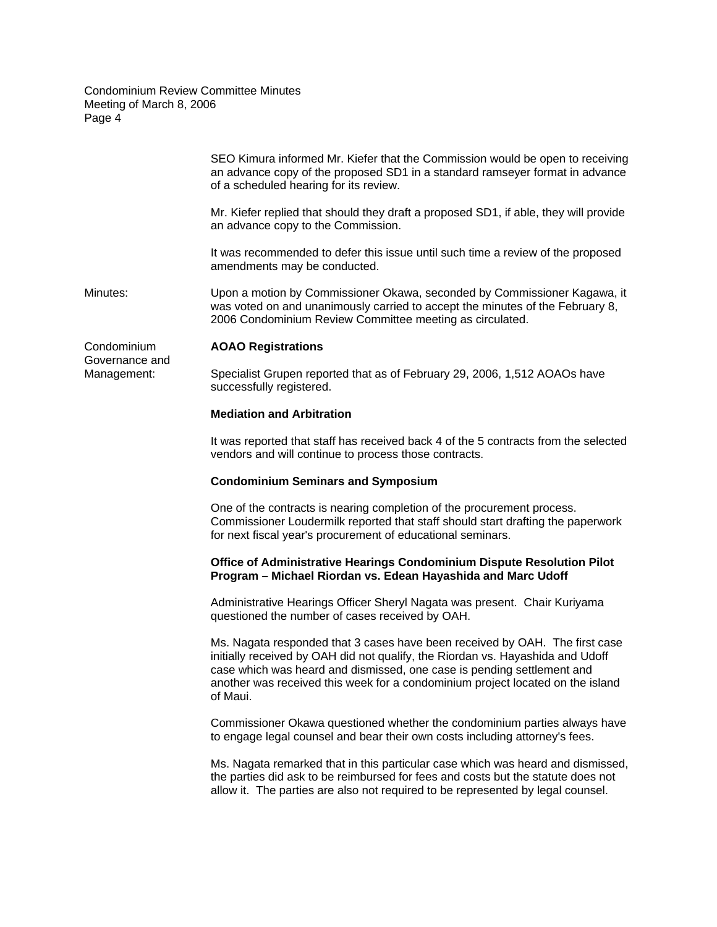|                                              | SEO Kimura informed Mr. Kiefer that the Commission would be open to receiving<br>an advance copy of the proposed SD1 in a standard ramseyer format in advance<br>of a scheduled hearing for its review.                                                                                                                               |
|----------------------------------------------|---------------------------------------------------------------------------------------------------------------------------------------------------------------------------------------------------------------------------------------------------------------------------------------------------------------------------------------|
|                                              | Mr. Kiefer replied that should they draft a proposed SD1, if able, they will provide<br>an advance copy to the Commission.                                                                                                                                                                                                            |
|                                              | It was recommended to defer this issue until such time a review of the proposed<br>amendments may be conducted.                                                                                                                                                                                                                       |
| Minutes:                                     | Upon a motion by Commissioner Okawa, seconded by Commissioner Kagawa, it<br>was voted on and unanimously carried to accept the minutes of the February 8,<br>2006 Condominium Review Committee meeting as circulated.                                                                                                                 |
| Condominium<br>Governance and<br>Management: | <b>AOAO Registrations</b>                                                                                                                                                                                                                                                                                                             |
|                                              | Specialist Grupen reported that as of February 29, 2006, 1,512 AOAOs have<br>successfully registered.                                                                                                                                                                                                                                 |
|                                              | <b>Mediation and Arbitration</b>                                                                                                                                                                                                                                                                                                      |
|                                              | It was reported that staff has received back 4 of the 5 contracts from the selected<br>vendors and will continue to process those contracts.                                                                                                                                                                                          |
|                                              | <b>Condominium Seminars and Symposium</b>                                                                                                                                                                                                                                                                                             |
|                                              | One of the contracts is nearing completion of the procurement process.<br>Commissioner Loudermilk reported that staff should start drafting the paperwork<br>for next fiscal year's procurement of educational seminars.                                                                                                              |
|                                              | Office of Administrative Hearings Condominium Dispute Resolution Pilot<br>Program - Michael Riordan vs. Edean Hayashida and Marc Udoff                                                                                                                                                                                                |
|                                              | Administrative Hearings Officer Sheryl Nagata was present. Chair Kuriyama<br>questioned the number of cases received by OAH.                                                                                                                                                                                                          |
|                                              | Ms. Nagata responded that 3 cases have been received by OAH. The first case<br>initially received by OAH did not qualify, the Riordan vs. Hayashida and Udoff<br>case which was heard and dismissed, one case is pending settlement and<br>another was received this week for a condominium project located on the island<br>of Maui. |
|                                              | Commissioner Okawa questioned whether the condominium parties always have<br>to engage legal counsel and bear their own costs including attorney's fees.                                                                                                                                                                              |
|                                              | Ms. Nagata remarked that in this particular case which was heard and dismissed,<br>the parties did ask to be reimbursed for fees and costs but the statute does not<br>allow it. The parties are also not required to be represented by legal counsel.                                                                                |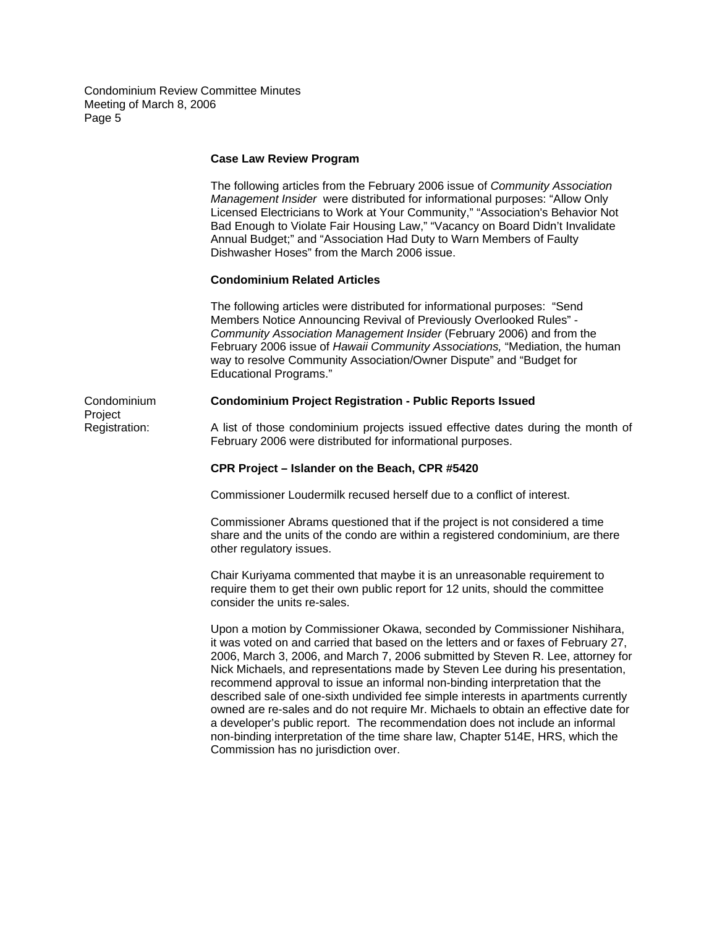#### **Case Law Review Program**

The following articles from the February 2006 issue of *Community Association Management Insider* were distributed for informational purposes: "Allow Only Licensed Electricians to Work at Your Community," "Association's Behavior Not Bad Enough to Violate Fair Housing Law," "Vacancy on Board Didn't Invalidate Annual Budget;" and "Association Had Duty to Warn Members of Faulty Dishwasher Hoses" from the March 2006 issue.

### **Condominium Related Articles**

The following articles were distributed for informational purposes: "Send Members Notice Announcing Revival of Previously Overlooked Rules" - *Community Association Management Insider* (February 2006) and from the February 2006 issue of *Hawaii Community Associations,* "Mediation, the human way to resolve Community Association/Owner Dispute" and "Budget for Educational Programs."

## Condominium **Condominium Project Registration - Public Reports Issued**

**Project** 

Registration: A list of those condominium projects issued effective dates during the month of February 2006 were distributed for informational purposes.

### **CPR Project – Islander on the Beach, CPR #5420**

Commissioner Loudermilk recused herself due to a conflict of interest.

Commissioner Abrams questioned that if the project is not considered a time share and the units of the condo are within a registered condominium, are there other regulatory issues.

Chair Kuriyama commented that maybe it is an unreasonable requirement to require them to get their own public report for 12 units, should the committee consider the units re-sales.

Upon a motion by Commissioner Okawa, seconded by Commissioner Nishihara, it was voted on and carried that based on the letters and or faxes of February 27, 2006, March 3, 2006, and March 7, 2006 submitted by Steven R. Lee, attorney for Nick Michaels, and representations made by Steven Lee during his presentation, recommend approval to issue an informal non-binding interpretation that the described sale of one-sixth undivided fee simple interests in apartments currently owned are re-sales and do not require Mr. Michaels to obtain an effective date for a developer's public report. The recommendation does not include an informal non-binding interpretation of the time share law, Chapter 514E, HRS, which the Commission has no jurisdiction over.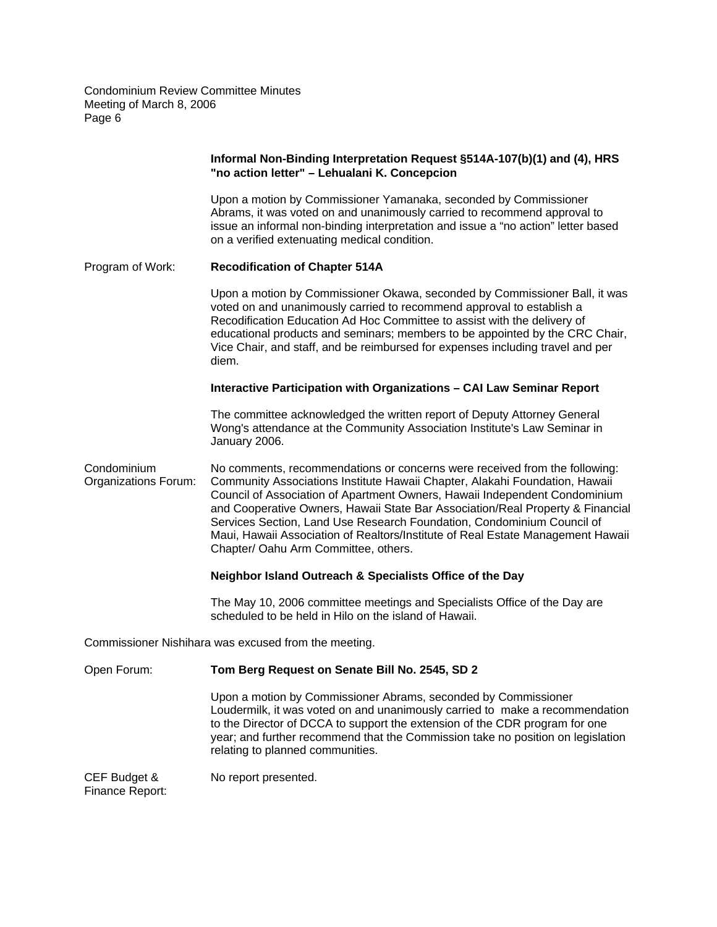|                                     | Informal Non-Binding Interpretation Request §514A-107(b)(1) and (4), HRS<br>"no action letter" - Lehualani K. Concepcion                                                                                                                                                                                                                                                                                                                                                                                                       |
|-------------------------------------|--------------------------------------------------------------------------------------------------------------------------------------------------------------------------------------------------------------------------------------------------------------------------------------------------------------------------------------------------------------------------------------------------------------------------------------------------------------------------------------------------------------------------------|
|                                     | Upon a motion by Commissioner Yamanaka, seconded by Commissioner<br>Abrams, it was voted on and unanimously carried to recommend approval to<br>issue an informal non-binding interpretation and issue a "no action" letter based<br>on a verified extenuating medical condition.                                                                                                                                                                                                                                              |
| Program of Work:                    | <b>Recodification of Chapter 514A</b>                                                                                                                                                                                                                                                                                                                                                                                                                                                                                          |
|                                     | Upon a motion by Commissioner Okawa, seconded by Commissioner Ball, it was<br>voted on and unanimously carried to recommend approval to establish a<br>Recodification Education Ad Hoc Committee to assist with the delivery of<br>educational products and seminars; members to be appointed by the CRC Chair,<br>Vice Chair, and staff, and be reimbursed for expenses including travel and per<br>diem.                                                                                                                     |
|                                     | Interactive Participation with Organizations - CAI Law Seminar Report                                                                                                                                                                                                                                                                                                                                                                                                                                                          |
|                                     | The committee acknowledged the written report of Deputy Attorney General<br>Wong's attendance at the Community Association Institute's Law Seminar in<br>January 2006.                                                                                                                                                                                                                                                                                                                                                         |
| Condominium<br>Organizations Forum: | No comments, recommendations or concerns were received from the following:<br>Community Associations Institute Hawaii Chapter, Alakahi Foundation, Hawaii<br>Council of Association of Apartment Owners, Hawaii Independent Condominium<br>and Cooperative Owners, Hawaii State Bar Association/Real Property & Financial<br>Services Section, Land Use Research Foundation, Condominium Council of<br>Maui, Hawaii Association of Realtors/Institute of Real Estate Management Hawaii<br>Chapter/ Oahu Arm Committee, others. |
|                                     | Neighbor Island Outreach & Specialists Office of the Day                                                                                                                                                                                                                                                                                                                                                                                                                                                                       |
|                                     | The May 10, 2006 committee meetings and Specialists Office of the Day are<br>scheduled to be held in Hilo on the island of Hawaii.                                                                                                                                                                                                                                                                                                                                                                                             |
|                                     | Commissioner Nishihara was excused from the meeting.                                                                                                                                                                                                                                                                                                                                                                                                                                                                           |
| Open Forum:                         | Tom Berg Request on Senate Bill No. 2545, SD 2                                                                                                                                                                                                                                                                                                                                                                                                                                                                                 |
|                                     | Upon a motion by Commissioner Abrams, seconded by Commissioner<br>Loudermilk, it was voted on and unanimously carried to make a recommendation<br>to the Director of DCCA to support the extension of the CDR program for one<br>year; and further recommend that the Commission take no position on legislation<br>relating to planned communities.                                                                                                                                                                           |
| CEF Budget &<br>Finance Report:     | No report presented.                                                                                                                                                                                                                                                                                                                                                                                                                                                                                                           |